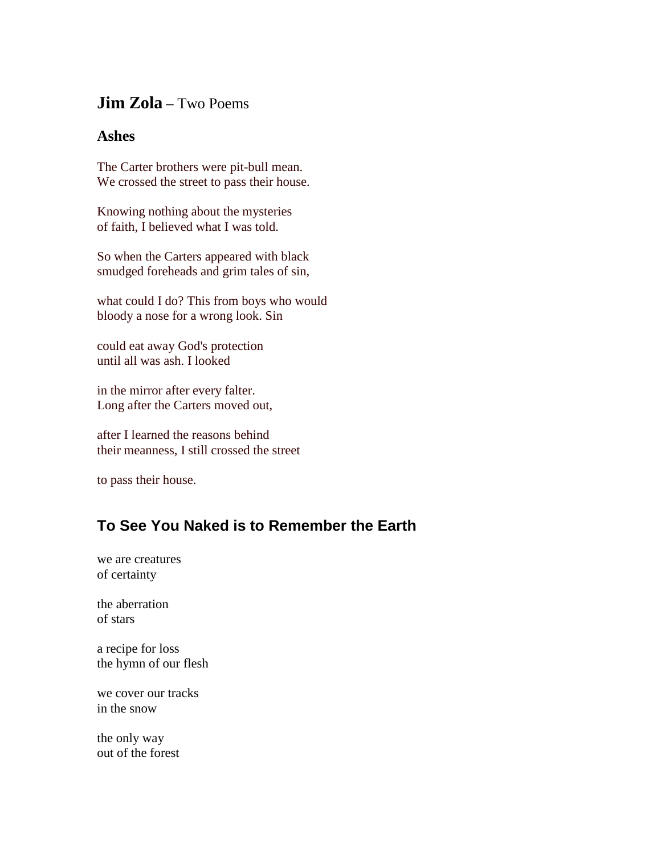## **Jim Zola** – Two Poems

## **Ashes**

The Carter brothers were pit-bull mean. We crossed the street to pass their house.

Knowing nothing about the mysteries of faith, I believed what I was told.

So when the Carters appeared with black smudged foreheads and grim tales of sin,

what could I do? This from boys who would bloody a nose for a wrong look. Sin

could eat away God's protection until all was ash. I looked

in the mirror after every falter. Long after the Carters moved out,

after I learned the reasons behind their meanness, I still crossed the street

to pass their house.

## **To See You Naked is to Remember the Earth**

we are creatures of certainty

the aberration of stars

a recipe for loss the hymn of our flesh

we cover our tracks in the snow

the only way out of the forest